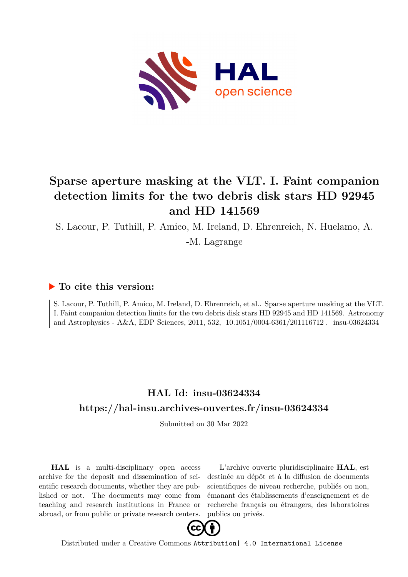

# **Sparse aperture masking at the VLT. I. Faint companion detection limits for the two debris disk stars HD 92945 and HD 141569**

S. Lacour, P. Tuthill, P. Amico, M. Ireland, D. Ehrenreich, N. Huelamo, A.

-M. Lagrange

### **To cite this version:**

S. Lacour, P. Tuthill, P. Amico, M. Ireland, D. Ehrenreich, et al.. Sparse aperture masking at the VLT. I. Faint companion detection limits for the two debris disk stars HD 92945 and HD 141569. Astronomy and Astrophysics - A&A, EDP Sciences, 2011, 532,  $10.1051/0004-6361/201116712$ . insu-03624334

### **HAL Id: insu-03624334 <https://hal-insu.archives-ouvertes.fr/insu-03624334>**

Submitted on 30 Mar 2022

**HAL** is a multi-disciplinary open access archive for the deposit and dissemination of scientific research documents, whether they are published or not. The documents may come from teaching and research institutions in France or abroad, or from public or private research centers.

L'archive ouverte pluridisciplinaire **HAL**, est destinée au dépôt et à la diffusion de documents scientifiques de niveau recherche, publiés ou non, émanant des établissements d'enseignement et de recherche français ou étrangers, des laboratoires publics ou privés.



Distributed under a Creative Commons [Attribution| 4.0 International License](http://creativecommons.org/licenses/by/4.0/)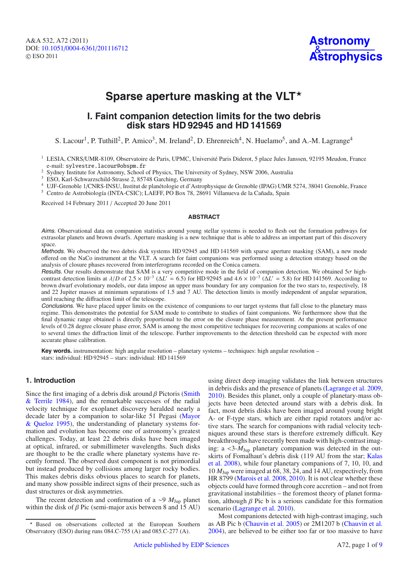

## Sparse aperture masking at the VLT<sup>\*</sup>

### **I. Faint companion detection limits for the two debris disk stars HD 92945 and HD 141569**

S. Lacour<sup>1</sup>, P. Tuthill<sup>2</sup>, P. Amico<sup>3</sup>, M. Ireland<sup>2</sup>, D. Ehrenreich<sup>4</sup>, N. Huelamo<sup>5</sup>, and A.-M. Lagrange<sup>4</sup>

<sup>1</sup> LESIA, CNRS/UMR-8109, Observatoire de Paris, UPMC, Université Paris Diderot, 5 place Jules Janssen, 92195 Meudon, France e-mail: sylvestre.lacour@obspm.fr

e-mail: sylvestre.racour@obspm.rr<br>
<sup>2</sup> Sydney Institute for Astronomy, School of Physics, The University of Sydney, NSW 2006, Australia<br>
<sup>3</sup> ESO, Karl-Schwarzschild-Strasse 2, 85748 Garching, Germany

<sup>4</sup> UJF-Grenoble 1/CNRS-INSU, Institut de planétologie et d'Astrophysique de Grenoble (IPAG) UMR 5274, 38041 Grenoble, France <sup>5</sup> Centro de Astrobiología (INTA-CSIC); LAEFF, PO Box 78, 28691 Villanueva de la Cañada, Spain

Received 14 February 2011 / Accepted 20 June 2011

#### **ABSTRACT**

Aims. Observational data on companion statistics around young stellar systems is needed to flesh out the formation pathways for extrasolar planets and brown dwarfs. Aperture masking is a new technique that is able to address an important part of this discovery space.

Methods. We observed the two debris disk systems HD 92945 and HD 141569 with sparse aperture masking (SAM), a new mode offered on the NaCo instrument at the VLT. A search for faint companions was performed using a detection strategy based on the analysis of closure phases recovered from interferograms recorded on the Conica camera.

Results. Our results demonstrate that SAM is a very competitive mode in the field of companion detection. We obtained  $5\sigma$  highcontrast detection limits at  $\lambda/D$  of 2.5 × 10<sup>-3</sup> ( $\Delta L' = 6.5$ ) for HD 92945 and  $4.6 \times 10^{-3}$  ( $\Delta L' = 5.8$ ) for HD 141569. According to brown dwarf evolutionary models, our data impose an upper mass boundary for any companion for the two stars to, respectively, 18 and 22 Jupiter masses at minimum separations of 1.5 and 7 AU. The detection limits is mostly independent of angular separation, until reaching the diffraction limit of the telescope.

Conclusions. We have placed upper limits on the existence of companions to our target systems that fall close to the planetary mass regime. This demonstrates the potential for SAM mode to contribute to studies of faint companions. We furthermore show that the final dynamic range obtained is directly proportional to the error on the closure phase measurement. At the present performance levels of 0.28 degree closure phase error, SAM is among the most competitive techniques for recovering companions at scales of one to several times the diffraction limit of the telescope. Further improvements to the detection threshold can be expected with more accurate phase calibration.

**Key words.** instrumentation: high angular resolution – planetary systems – techniques: high angular resolution – stars: individual: HD 92945 – stars: individual: HD 141569

#### **1. Introduction**

Since the first imaging of a debris disk around  $\beta$  Pictoris (Smith & Terrile 1984), and the remarkable successes of the radial velocity technique for exoplanet discovery heralded nearly a decade later by a companion to solar-like 51 Pegasi (Mayor & Queloz 1995), the understanding of planetary systems formation and evolution has become one of astronomy's greatest challenges. Today, at least 22 debris disks have been imaged at optical, infrared, or submillimeter wavelengths. Such disks are thought to be the cradle where planetary systems have recently formed. The observed dust component is not primordial but instead produced by collisions among larger rocky bodies. This makes debris disks obvious places to search for planets, and many show possible indirect signs of their presence, such as dust structures or disk asymmetries.

The recent detection and confirmation of a ∼9 *M*Jup planet within the disk of  $\beta$  Pic (semi-major axis between 8 and 15 AU) using direct deep imaging validates the link between structures in debris disks and the presence of planets (Lagrange et al. 2009, 2010). Besides this planet, only a couple of planetary-mass objects have been detected around stars with a debris disk. In fact, most debris disks have been imaged around young bright A- or F-type stars, which are either rapid rotators and/or active stars. The search for companions with radial velocity techniques around these stars is therefore extremely difficult. Key breakthroughs have recently been made with high-contrast imaging: a <3-*M*Jup planetary companion was detected in the outskirts of Fomalhaut's debris disk (119 AU from the star; Kalas et al. 2008), while four planetary companions of 7, 10, 10, and 10 *M*Jup were imaged at 68, 38, 24, and 14 AU, respectively, from HR 8799 (Marois et al. 2008, 2010). It is not clear whether these objects could have formed through core accretion – and not from gravitational instabilities – the foremost theory of planet formation, although  $\beta$  Pic b is a serious candidate for this formation scenario (Lagrange et al. 2010).

Most companions detected with high-contrast imaging, such as AB Pic b (Chauvin et al. 2005) or 2M1207 b (Chauvin et al. 2004), are believed to be either too far or too massive to have

Based on observations collected at the European Southern Observatory (ESO) during runs 084.C-755 (A) and 085.C-277 (A).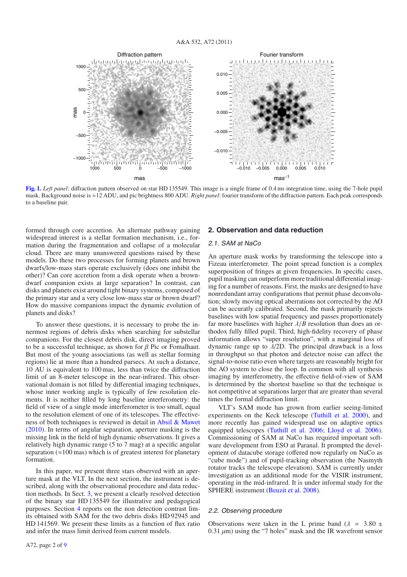

**[Fig. 1.](http://dexter.edpsciences.org/applet.php?DOI=10.1051/0004-6361/201116712&pdf_id=1)** *Left panel*: diffraction pattern observed on star HD 135549. This image is a single frame of 0.4 ms integration time, using the 7-hole pupil mask. Background noise is ≈12 ADU, and pic brightness 800 ADU. *Right panel*: fourier transform of the diffraction pattern. Each peak corresponds to a baseline pair.

formed through core accretion. An alternate pathway gaining widespread interest is a stellar formation mechanism, i.e., formation during the fragmentation and collapse of a molecular cloud. There are many unanswered questions raised by these models. Do these two processes for forming planets and brown dwarfs/low-mass stars operate exclusively (does one inhibit the other)? Can core accretion from a disk operate when a browndwarf companion exists at large separation? In contrast, can disks and planets exist around tight binary systems, composed of the primary star and a very close low-mass star or brown dwarf? How do massive companions impact the dynamic evolution of planets and disks?

To answer these questions, it is necessary to probe the innermost regions of debris disks when searching for substellar companions. For the closest debris disk, direct imaging proved to be a successful technique, as shown for  $\beta$  Pic or Fomalhaut. But most of the young associations (as well as stellar forming regions) lie at more than a hundred parsecs. At such a distance, 10 AU is equivalent to 100 mas, less than twice the diffraction limit of an 8-meter telescope in the near-infrared. This observational domain is not filled by differential imaging techniques, whose inner working angle is typically of few resolution elements. It is neither filled by long baseline interferometry: the field of view of a single mode interferometer is too small, equal to the resolution element of one of its telescopes. The effectiveness of both techniques is reviewed in detail in Absil & Mawet (2010). In terms of angular separation, aperture masking is the missing link in the field of high dynamic observations. It gives a relatively high dynamic range (5 to 7 mag) at a specific angular separation  $(\approx 100 \text{ mas})$  which is of greatest interest for planetary formation.

In this paper, we present three stars observed with an aperture mask at the VLT. In the next section, the instrument is described, along with the observational procedure and data reduction methods. In Sect. 3, we present a clearly resolved detection of the binary star HD 135549 for illustrative and pedagogical purposes. Section 4 reports on the non detection contrast limits obtained with SAM for the two debris disks HD 92945 and HD 141569. We present these limits as a function of flux ratio and infer the mass limit derived from current models.

#### **2. Observation and data reduction**

#### 2.1. SAM at NaCo

An aperture mask works by transforming the telescope into a Fizeau interferometer. The point spread function is a complex superposition of fringes at given frequencies. In specific cases, pupil masking can outperform more traditional differential imaging for a number of reasons. First, the masks are designed to have nonredundant array configurations that permit phase deconvolution; slowly moving optical aberrations not corrected by the AO can be accuratly calibrated. Second, the mask primarily rejects baselines with low spatial frequency and passes proportionately far more baselines with higher  $\lambda/B$  resolution than does an orthodox fully filled pupil. Third, high-fidelity recovery of phase information allows "super resolution", with a marginal loss of dynamic range up to  $\lambda$ /2D. The principal drawback is a loss in throughput so that photon and detector noise can affect the signal-to-noise ratio even where targets are reasonably bright for the AO system to close the loop. In common with all synthesis imaging by interferometry, the effective field-of-view of SAM is determined by the shortest baseline so that the technique is not competitive at separations larger that are greater than several times the formal diffraction limit.

VLT's SAM mode has grown from earlier seeing-limited experiments on the Keck telescope (Tuthill et al. 2000), and more recently has gained widespread use on adaptive optics equipped telescopes (Tuthill et al. 2006; Lloyd et al. 2006). Commissioning of SAM at NaCo has required important software development from ESO at Paranal. It prompted the development of datacube storage (offered now regularly on NaCo as "cube mode") and of pupil-tracking observation (the Nasmyth rotator tracks the telescope elevation). SAM is currently under investigation as an additional mode for the VISIR instrument, operating in the mid-infrared. It is under informal study for the SPHERE instrument (Beuzit et al. 2008).

#### 2.2. Observing procedure

Observations were taken in the L prime band ( $\lambda$  = 3.80  $\pm$ 0.31  $\mu$ m) using the "7 holes" mask and the IR wavefront sensor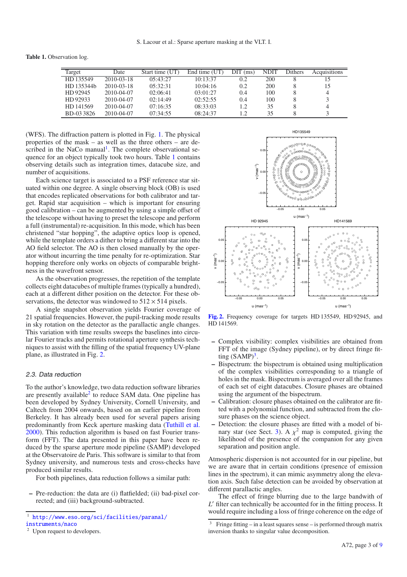**Table 1.** Observation log.

| Target     | Date       | Start time (UT) | End time (UT) | $\text{DIT}$ (ms) | <b>NDIT</b> | Dithers | Acquisitions |
|------------|------------|-----------------|---------------|-------------------|-------------|---------|--------------|
| HD 135549  | 2010-03-18 | 05:43:27        | 10:13:37      | 0.2               | 200         |         |              |
| HD 135344b | 2010-03-18 | 05:32:31        | 10:04:16      | $0.2\,$           | 200         |         | 15           |
| HD 92945   | 2010-04-07 | 02:06:41        | 03:01:27      | 0.4               | 100         |         | 4            |
| HD 92933   | 2010-04-07 | 02:14:49        | 02:52:55      | 0.4               | 100         |         |              |
| HD 141569  | 2010-04-07 | 07:16:35        | 08:33:03      | $\overline{1.2}$  | 35          |         |              |
| BD-033826  | 2010-04-07 | 07:34:55        | 08:24:37      | $\cdot$ 2         | 35          |         |              |

(WFS). The diffraction pattern is plotted in Fig. 1. The physical properties of the mask – as well as the three others – are described in the NaCo manual<sup>1</sup>. The complete observational sequence for an object typically took two hours. Table 1 contains observing details such as integration times, datacube size, and number of acquisitions.

Each science target is associated to a PSF reference star situated within one degree. A single observing block (OB) is used that encodes replicated observations for both calibrator and target. Rapid star acquisition – which is important for ensuring good calibration – can be augmented by using a simple offset of the telescope without having to preset the telescope and perform a full (instrumental) re-acquisition. In this mode, which has been christened "star hopping", the adaptive optics loop is opened, while the template orders a dither to bring a different star into the AO field selector. The AO is then closed manually by the operator without incurring the time penalty for re-optimization. Star hopping therefore only works on objects of comparable brightness in the wavefront sensor.

As the observation progresses, the repetition of the template collects eight datacubes of multiple frames (typically a hundred), each at a different dither position on the detector. For these observations, the detector was windowed to  $512 \times 514$  pixels.

A single snapshot observation yields Fourier coverage of 21 spatial frequencies. However, the pupil-tracking mode results in sky rotation on the detector as the parallactic angle changes. This variation with time results sweeps the baselines into circular Fourier tracks and permits rotational aperture synthesis techniques to assist with the filling of the spatial frequency UV-plane plane, as illustrated in Fig. 2.

#### 2.3. Data reduction

To the author's knowledge, two data reduction software libraries are presently available $2$  to reduce SAM data. One pipeline has been developed by Sydney University, Cornell University, and Caltech from 2004 onwards, based on an earlier pipeline from Berkeley. It has already been used for several papers arising predominantly from Keck aperture masking data (Tuthill et al. 2000). This reduction algorithm is based on fast Fourier transform (FFT). The data presented in this paper have been reduced by the sparse aperture mode pipeline (SAMP) developed at the Observatoire de Paris. This software is similar to that from Sydney university, and numerous tests and cross-checks have produced similar results.

For both pipelines, data reduction follows a similar path:

**–** Pre-reduction: the data are (i) flatfielded; (ii) bad-pixel corrected; and (iii) background-subtracted.



**[Fig. 2.](http://dexter.edpsciences.org/applet.php?DOI=10.1051/0004-6361/201116712&pdf_id=2)** Frequency coverage for targets HD 135549, HD 92945, and HD 141569.

- **–** Complex visibility: complex visibilities are obtained from FFT of the image (Sydney pipeline), or by direct fringe fitting  $(SAMP)^3$ .
- **–** Bispectrum: the bispectrum is obtained using multiplication of the complex visibilities corresponding to a triangle of holes in the mask. Bispectrum is averaged over all the frames of each set of eight datacubes. Closure phases are obtained using the argument of the bispectrum.
- **–** Calibration: closure phases obtained on the calibrator are fitted with a polynomial function, and subtracted from the closure phases on the science object.
- **–** Detection: the closure phases are fitted with a model of binary star (see Sect. 3). A  $\chi^2$  map is computed, giving the likelihood of the presence of the companion for any given separation and position angle.

Atmospheric dispersion is not accounted for in our pipeline, but we are aware that in certain conditions (presence of emission lines in the spectrum), it can mimic asymmetry along the elevation axis. Such false detection can be avoided by observation at different parallactic angles.

The effect of fringe blurring due to the large bandwith of *L*' filter can technically be accounted for in the fitting process. It would require including a loss of fringe coherence on the edge of

<sup>&</sup>lt;sup>1</sup> [http://www.eso.org/sci/facilities/paranal/](http://www.eso.org/sci/facilities/paranal/instruments/naco)<br>instruments/naco

<sup>&</sup>lt;sup>2</sup> Upon request to developers.

<sup>&</sup>lt;sup>3</sup> Fringe fitting – in a least squares sense – is performed through matrix inversion thanks to singular value decomposition.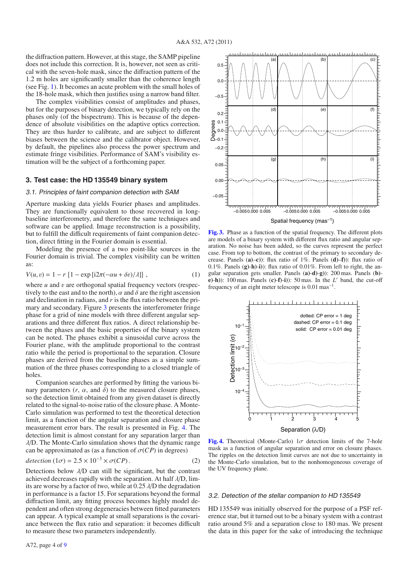the diffraction pattern. However, at this stage, the SAMP pipeline does not include this correction. It is, however, not seen as critical with the seven-hole mask, since the diffraction pattern of the 1.2 m holes are significantly smaller than the coherence length (see Fig. 1). It becomes an acute problem with the small holes of the 18-hole mask, which then justifies using a narrow band filter.

The complex visibilities consist of amplitudes and phases, but for the purposes of binary detection, we typically rely on the phases only (of the bispectrum). This is because of the dependence of absolute visibilities on the adaptive optics correction. They are thus harder to calibrate, and are subject to different biases between the science and the calibrator object. However, by default, the pipelines also process the power spectrum and estimate fringe visibilities. Performance of SAM's visibility estimation will be the subject of a forthcoming paper.

#### **3. Test case: the HD 135549 binary system**

#### 3.1. Principles of faint companion detection with SAM

Aperture masking data yields Fourier phases and amplitudes. They are functionally equivalent to those recovered in longbaseline interferometry, and therefore the same techniques and software can be applied. Image reconstruction is a possibility, but to fulfill the difficult requirements of faint companion detection, direct fitting in the Fourier domain is essential.

Modeling the presence of a two point-like sources in the Fourier domain is trivial. The complex visibility can be written as:

$$
V(u, v) = 1 - r \left\{ 1 - \exp\left[i2\pi(-\alpha u + \delta v)/\lambda\right] \right\},\tag{1}
$$

where *u* and *v* are orthogonal spatial frequency vectors (respectively to the east and to the north),  $\alpha$  and  $\delta$  are the right ascension and declination in radians, and *r* is the flux ratio between the primary and secondary. Figure 3 presents the interferometer fringe phase for a grid of nine models with three different angular separations and three different flux ratios. A direct relationship between the phases and the basic properties of the binary system can be noted. The phases exhibit a sinusoidal curve across the Fourier plane, with the amplitude proportional to the contrast ratio while the period is proportional to the separation. Closure phases are derived from the baseline phases as a simple summation of the three phases corresponding to a closed triangle of holes.

Companion searches are performed by fitting the various binary parameters  $(r, \alpha, \text{ and } \delta)$  to the measured closure phases, so the detection limit obtained from any given dataset is directly related to the signal-to-noise ratio of the closure phase. A Monte-Carlo simulation was performed to test the theoretical detection limit, as a function of the angular separation and closure phase measurement error bars. The result is presented in Fig. 4. The detection limit is almost constant for any separation larger than  $\lambda$ D. The Monte-Carlo simulation shows that the dynamic range can be approximated as (as a function of  $\sigma(CP)$  in degrees)

$$
detection (1\sigma) = 2.5 \times 10^{-3} \times \sigma(CP). \tag{2}
$$

Detections below  $\lambda/D$  can still be significant, but the contrast achieved decreases rapidly with the separation. At half  $\lambda$ /D, limits are worse by a factor of two, while at  $0.25 \lambda/D$  the degradation in performance is a factor 15. For separations beyond the formal diffraction limit, any fitting process becomes highly model dependent and often strong degeneracies between fitted parameters can appear. A typical example at small separations is the covariance between the flux ratio and separation: it becomes difficult to measure these two parameters independently.



**[Fig. 3.](http://dexter.edpsciences.org/applet.php?DOI=10.1051/0004-6361/201116712&pdf_id=3)** Phase as a function of the spatial frequency. The different plots are models of a binary system with different flux ratio and angular separation. No noise has been added, so the curves represent the perfect case. From top to bottom, the contrast of the primary to secondary decrease. Panels (**a)**–**c)**): flux ratio of 1%. Panels (**d)**–**f)**): flux ratio of 0.1%. Panels (**g)**-**h)**-**i)**): flux ratio of 0.01%. From left to right, the angular separation gets smaller. Panels (**a)**-**d)**-**g)**): 200 mas. Panels (**b) e)**-**h)**): 100 mas. Panels (**c)**-**f)**-**i)**): 50 mas. In the *L* band, the cut-off frequency of an eight meter telescope is 0.01 mas−1.



**[Fig. 4.](http://dexter.edpsciences.org/applet.php?DOI=10.1051/0004-6361/201116712&pdf_id=4)** Theoretical (Monte-Carlo)  $1\sigma$  detection limits of the 7-hole mask as a function of angular separation and error on closure phases. The ripples on the detection limit curves are not due to uncertainty in the Monte-Carlo simulation, but to the nonhomogeneous coverage of the UV frequency plane.

#### 3.2. Detection of the stellar companion to HD 135549

HD 135549 was initially observed for the purpose of a PSF reference star, but it turned out to be a binary system with a contrast ratio around 5% and a separation close to 180 mas. We present the data in this paper for the sake of introducing the technique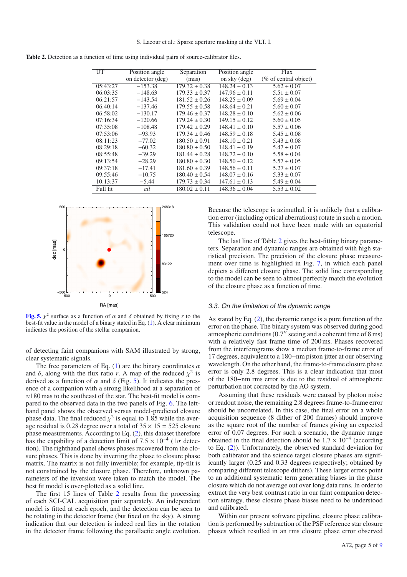| <b>Table 2.</b> Detection as a function of time using individual pairs of source-calibrator files. |  |  |  |  |
|----------------------------------------------------------------------------------------------------|--|--|--|--|
|                                                                                                    |  |  |  |  |

Ė

| UT       | Position angle    | Separation                   | Position angle               | Flux                  |
|----------|-------------------|------------------------------|------------------------------|-----------------------|
|          | on detector (deg) | (mas)                        | on sky (deg)                 | (% of central object) |
| 05:43:27 | $-153.38$         | $\overline{179.32} \pm 0.38$ | $148.24 \pm 0.13$            | $5.62 \pm 0.07$       |
| 06:03:35 | $-148.63$         | $179.33 \pm 0.37$            | $147.96 \pm 0.11$            | $5.51 \pm 0.07$       |
| 06:21:57 | $-143.54$         | $181.52 \pm 0.26$            | $148.25 \pm 0.09$            | $5.69 \pm 0.04$       |
| 06:40:14 | $-137.46$         | $179.55 \pm 0.58$            | $148.64 \pm 0.21$            | $5.60 \pm 0.07$       |
| 06:58:02 | $-130.17$         | $179.46 \pm 0.37$            | $148.28 \pm 0.10$            | $5.62 \pm 0.06$       |
| 07:16:34 | $-120.66$         | $179.24 \pm 0.30$            | $149.15 \pm 0.12$            | $5.60 \pm 0.05$       |
| 07:35:08 | $-108.48$         | $179.42 \pm 0.29$            | $148.41 \pm 0.10$            | $5.57 \pm 0.06$       |
| 07:53:06 | $-93.93$          | $179.34 \pm 0.46$            | $148.59 \pm 0.18$            | $5.45 \pm 0.08$       |
| 08:11:23 | $-77.02$          | $180.50 \pm 0.91$            | $148.10 \pm 0.21$            | $5.43 \pm 0.08$       |
| 08:29:18 | $-60.32$          | $180.80 \pm 0.50$            | $148.41 \pm 0.19$            | $5.47 \pm 0.07$       |
| 08:55:48 | $-39.29$          | $181.44 \pm 0.28$            | $148.72 \pm 0.10$            | $5.58 \pm 0.04$       |
| 09:13:54 | $-28.29$          | $180.80 \pm 0.30$            | $148.50 \pm 0.12$            | $5.57 \pm 0.05$       |
| 09:37:18 | $-17.41$          | $181.60 \pm 0.39$            | $148.56 \pm 0.11$            | $5.27 \pm 0.07$       |
| 09:55:46 | $-10.75$          | $180.40 \pm 0.54$            | $148.07 \pm 0.16$            | $5.33 \pm 0.07$       |
| 10:13:37 | $-5.44$           | $179.73 \pm 0.34$            | $147.61 \pm 0.13$            | $5.49 \pm 0.04$       |
| Full fit | all               | $180.02 \pm 0.11$            | $\overline{148.36} \pm 0.04$ | $5.53 \pm 0.02$       |



**[Fig. 5.](http://dexter.edpsciences.org/applet.php?DOI=10.1051/0004-6361/201116712&pdf_id=5)**  $\chi^2$  surface as a function of  $\alpha$  and  $\delta$  obtained by fixing r to the best-fit value in the model of a binary stated in Eq. (1). A clear minimum indicates the position of the stellar companion.

of detecting faint companions with SAM illustrated by strong, clear systematic signals.

The free parameters of Eq. (1) are the binary coordinates  $\alpha$ and  $\delta$ , along with the flux ratio *r*. A map of the reduced  $\chi^2$  is derived as a function of  $\alpha$  and  $\delta$  (Fig. 5). It indicates the presence of a companion with a strong likelihood at a separation of ≈180 mas to the southeast of the star. The best-fit model is compared to the observed data in the two panels of Fig. 6. The lefthand panel shows the observed versus model-predicted closure phase data. The final reduced  $\chi^2$  is equal to 1.85 while the average residual is 0.28 degree over a total of  $35 \times 15 = 525$  closure phase measurements. According to Eq. (2), this dataset therefore has the capability of a detection limit of 7.5  $\times$  10<sup>-4</sup> (1 $\sigma$  detection). The righthand panel shows phases recovered from the closure phases. This is done by inverting the phase to closure phase matrix. The matrix is not fully invertible; for example, tip-tilt is not constrained by the closure phase. Therefore, unknown parameters of the inversion were taken to match the model. The best fit model is over-plotted as a solid line.

The first 15 lines of Table 2 results from the processing of each SCI-CAL acquisition pair separately. An independent model is fitted at each epoch, and the detection can be seen to be rotating in the detector frame (but fixed on the sky). A strong indication that our detection is indeed real lies in the rotation in the detector frame following the parallactic angle evolution. Because the telescope is azimuthal, it is unlikely that a calibration error (including optical aberrations) rotate in such a motion. This validation could not have been made with an equatorial telescope.

The last line of Table 2 gives the best-fitting binary parameters. Separation and dynamic ranges are obtained with high statistical precision. The precision of the closure phase measurement over time is highlighted in Fig. 7, in which each panel depicts a different closure phase. The solid line corresponding to the model can be seen to almost perfectly match the evolution of the closure phase as a function of time.

#### 3.3. On the limitation of the dynamic range

As stated by Eq. (2), the dynamic range is a pure function of the error on the phase. The binary system was observed during good atmospheric conditions  $(0.7$ " seeing and a coherent time of 8 ms) with a relatively fast frame time of 200 ms. Phases recovered from the interferograms show a median frame-to-frame error of 17 degrees, equivalent to a 180−nm piston jitter at our observing wavelength. On the other hand, the frame-to-frame closure phase error is only 2.8 degrees. This is a clear indication that most of the 180−nm rms error is due to the residual of atmospheric perturbation not corrected by the AO system.

Assuming that these residuals were caused by photon noise or readout noise, the remaining 2.8 degrees frame-to-frame error should be uncorrelated. In this case, the final error on a whole acquisition sequence (8 dither of 200 frames) should improve as the square root of the number of frames giving an expected error of 0.07 degrees. For such a scenario, the dynamic range obtained in the final detection should be  $1.7 \times 10^{-4}$  (according to Eq. (2)). Unfortunately, the observed standard deviation for both calibrator and the science target closure phases are significantly larger (0.25 and 0.33 degrees respectively; obtained by comparing different telescope dithers). These larger errors point to an additional systematic term generating biases in the phase closure which do not average out over long data runs. In order to extract the very best contrast ratio in our faint companion detection strategy, these closure phase biases need to be understood and calibrated.

Within our present software pipeline, closure phase calibration is performed by subtraction of the PSF reference star closure phases which resulted in an rms closure phase error observed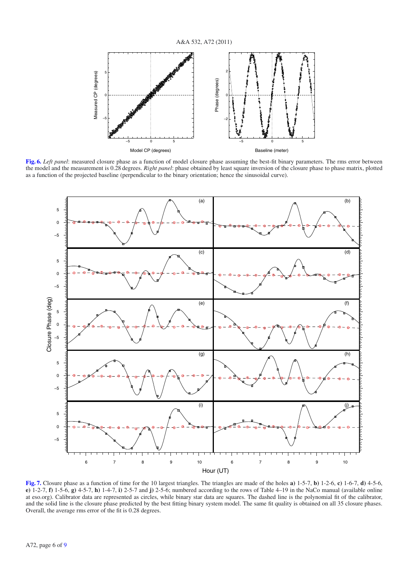

**[Fig. 6.](http://dexter.edpsciences.org/applet.php?DOI=10.1051/0004-6361/201116712&pdf_id=6)** *Left panel*: measured closure phase as a function of model closure phase assuming the best-fit binary parameters. The rms error between the model and the measurement is 0.28 degrees. *Right panel*: phase obtained by least square inversion of the closure phase to phase matrix, plotted as a function of the projected baseline (perpendicular to the binary orientation; hence the sinusoidal curve).



**[Fig. 7.](http://dexter.edpsciences.org/applet.php?DOI=10.1051/0004-6361/201116712&pdf_id=7)** Closure phase as a function of time for the 10 largest triangles. The triangles are made of the holes **a)** 1-5-7, **b)** 1-2-6, **c)** 1-6-7, **d)** 4-5-6, **e)** 1-2-7, **f)** 1-5-6, **g)** 4-5-7, **h)** 1-4-7, **i)** 2-5-7 and **j)** 2-5-6; numbered according to the rows of Table 4–19 in the NaCo manual (available online at eso.org). Calibrator data are represented as circles, while binary star data are squares. The dashed line is the polynomial fit of the calibrator, and the solid line is the closure phase predicted by the best fitting binary system model. The same fit quality is obtained on all 35 closure phases. Overall, the average rms error of the fit is 0.28 degrees.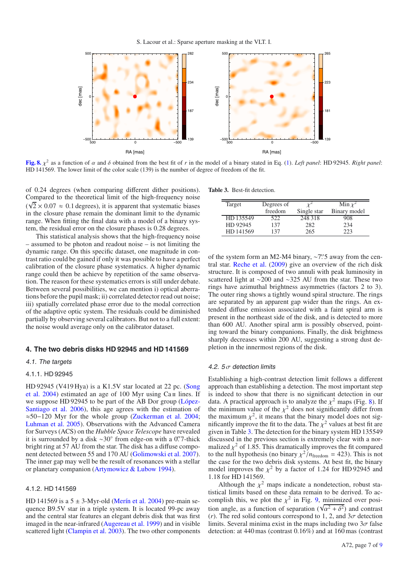

**[Fig. 8.](http://dexter.edpsciences.org/applet.php?DOI=10.1051/0004-6361/201116712&pdf_id=8)**  $\chi^2$  as a function of  $\alpha$  and  $\delta$  obtained from the best fit of *r* in the model of a binary stated in Eq. (1). *Left panel*: HD 92945. *Right panel*: HD 141569. The lower limit of the color scale (139) is the number of degree of freedom of the fit.

of 0.24 degrees (when comparing different dither positions). Compared to the theoretical limit of the high-frequency noise  $(\sqrt{2} \times 0.07 \approx 0.1$  degrees), it is apparent that systematic biases in the closure phase remain the dominant limit to the dynamic range. When fitting the final data with a model of a binary system, the residual error on the closure phases is 0.28 degrees.

This statistical analysis shows that the high-frequency noise – assumed to be photon and readout noise – is not limiting the dynamic range. On this specific dataset, one magnitude in contrast ratio could be gained if only it was possible to have a perfect calibration of the closure phase systematics. A higher dynamic range could then be achieve by repetition of the same observation. The reason for these systematics errors is still under debate. Between several possibilities, we can mention i) optical aberrations before the pupil mask; ii) correlated detector read out noise; iii) spatially correlated phase error due to the modal correction of the adaptive optic system. The residuals could be diminished partially by observing several calibrators. But not to a full extent: the noise would average only on the calibrator dataset.

#### **4. The two debris disks HD 92945 and HD 141569**

#### 4.1. The targets

#### 4.1.1. HD 92945

HD 92945 (V419 Hya) is a K1.5V star located at 22 pc. (Song et al.  $2004$ ) estimated an age of 100 Myr using Ca II lines. If we suppose HD 92945 to be part of the AB Dor group (López-Santiago et al. 2006), this age agrees with the estimation of ≈50−120 Myr for the whole group (Zuckerman et al. 2004; Luhman et al. 2005). Observations with the Advanced Camera for Surveys (ACS) on the *Hubble Space Telescope* have revealed it is surrounded by a disk  $\sim 30^\circ$  from edge-on with a 0. Thick bright ring at 57 AU from the star. The disk has a diffuse component detected between 55 and 170 AU (Golimowski et al. 2007). The inner gap may well be the result of resonances with a stellar or planetary companion (Artymowicz & Lubow 1994).

#### 4.1.2. HD 141569

HD 141569 is a  $5 \pm 3$ -Myr-old (Merín et al. 2004) pre-main sequence B9.5V star in a triple system. It is located 99-pc away and the central star features an elegant debris disk that was first imaged in the near-infrared (Augereau et al. 1999) and in visible scattered light (Clampin et al. 2003). The two other components **Table 3.** Best-fit detection.

| Target    | Degrees of |             | Min $\chi^2$ |  |
|-----------|------------|-------------|--------------|--|
|           | freedom    | Single star | Binary model |  |
| HD 135549 | 522        | 248 318     | 908          |  |
| HD 92945  | 137        | 282         | 234          |  |
| HD 141569 | 137        | 265         |              |  |

of the system form an M2-M4 binary, ~7".5 away from the central star. Reche et al. (2009) give an overview of the rich disk structure. It is composed of two annuli with peak luminosity in scattered light at ∼200 and ∼325 AU from the star. These two rings have azimuthal brightness asymmetries (factors 2 to 3). The outer ring shows a tightly wound spiral structure. The rings are separated by an apparent gap wider than the rings. An extended diffuse emission associated with a faint spiral arm is present in the northeast side of the disk, and is detected to more than 600 AU. Another spiral arm is possibly observed, pointing toward the binary companions. Finally, the disk brightness sharply decreases within 200 AU, suggesting a strong dust depletion in the innermost regions of the disk.

#### 4.2.  $5\sigma$  detection limits

Establishing a high-contrast detection limit follows a different approach than establishing a detection. The most important step is indeed to show that there is no significant detection in our data. A practical approach is to analyze the  $\chi^2$  maps (Fig. 8). If the minimum value of the  $\chi^2$  does not significantly differ from the maximum  $\chi^2$ , it means that the binary model does not significantly improve the fit to the data. The  $\chi^2$  values at best fit are given in Table 3. The detection for the binary system HD 135549 discussed in the previous section is extremely clear with a normalized  $\chi^2$  of 1.85. This dramatically improves the fit compared to the null hypothesis (no binary  $\chi^2/n_{\text{freedom}} = 423$ ). This is not the case for the two debris disk systems. At best fit, the binary model improves the  $\chi^2$  by a factor of 1.24 for HD 92945 and 1.18 for HD 141569.

Although the  $\chi^2$  maps indicate a nondetection, robust statistical limits based on these data remain to be derived. To accomplish this, we plot the  $\chi^2$  in Fig. 9, minimized over position angle, as a function of separation  $(\sqrt{\alpha^2 + \delta^2})$  and contrast (*r*). The red solid contours correspond to 1, 2, and  $3\sigma$  detection limits. Several minima exist in the maps including two  $3\sigma$  false detection: at 440 mas (contrast 0.16%) and at 160 mas (contrast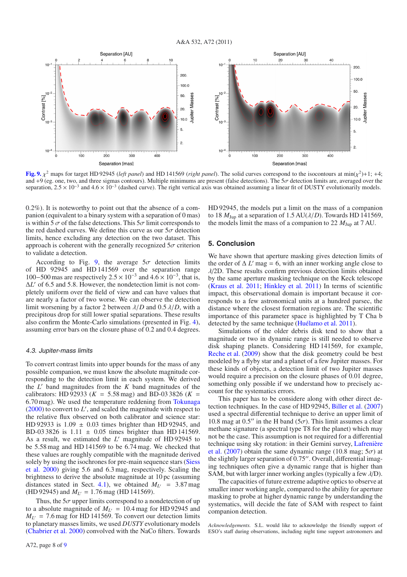

**[Fig. 9.](http://dexter.edpsciences.org/applet.php?DOI=10.1051/0004-6361/201116712&pdf_id=9)**  $\chi^2$  maps for target HD 92945 (*left panel*) and HD 141569 (*right panel*). The solid curves correspond to the isocontours at min( $\chi^2$ )+1; +4; and +9 (eg. one, two, and three sigmas contours). Multiple minimums are present (false detections). The  $5\sigma$  detection limits are, averaged over the separation,  $2.5 \times 10^{-3}$  and  $4.6 \times 10^{-3}$  (dashed curve). The right vertical axis was obtained assuming a linear fit of DUSTY evolutionarily models.

0.2%). It is noteworthy to point out that the absence of a companion (equivalent to a binary system with a separation of 0 mas) is within 5  $\sigma$  of the false detections. This  $5\sigma$  limit corresponds to the red dashed curves. We define this curve as our  $5\sigma$  detection limits, hence excluding any detection on the two dataset. This approach is coherent with the generally recognized  $5\sigma$  criterion to validate a detection.

According to Fig. 9, the average  $5\sigma$  detection limits of HD 92945 and HD 141569 over the separation range 100–500 mas are respectively  $2.5 \times 10^{-3}$  and  $4.6 \times 10^{-3}$ , that is, Δ*L* of 6.5 and 5.8. However, the nondetection limit is not completely uniform over the field of view and can have values that are nearly a factor of two worse. We can observe the detection limit worsening by a factor 2 between  $\lambda/D$  and 0.5  $\lambda/D$ , with a precipitous drop for still lower spatial separations. These results also confirm the Monte-Carlo simulations (presented in Fig. 4), assuming error bars on the closure phase of 0.2 and 0.4 degrees.

#### 4.3. Jupiter-mass limits

To convert contrast limits into upper bounds for the mass of any possible companion, we must know the absolute magnitude corresponding to the detection limit in each system. We derived the  $L'$  band magnitudes from the  $K$  band magnitudes of the calibrators: HD 92933 ( $K = 5.58$  mag) and BD-03 3826 ( $K =$ 6.70 mag). We used the temperature reddening from Tokunaga  $(2000)$  to convert to  $L'$ , and scaled the magnitude with respect to the relative flux observed on both calibrator and science star: HD 92933 is  $1.09 \pm 0.03$  times brighter than HD 92945, and BD-03 3826 is  $1.11 \pm 0.05$  times brighter than HD 141569. As a result, we estimated the *L'* magnitude of HD 92945 to be 5.58 mag and HD 141569 to be 6.74 mag. We checked that these values are roughly compatible with the magnitude derived solely by using the isochrones for pre-main sequence stars (Siess et al. 2000) giving 5.6 and 6.3 mag, respectively. Scaling the brightness to derive the absolute magnitude at 10 pc (assuming distances stated in Sect. 4.1), we obtained  $M_{L'} = 3.87$  mag (HD 92945) and  $M_{L'} = 1.76$  mag (HD 141569).

Thus, the  $5\sigma$  upper limits correspond to a nondetection of up to a absolute magnitude of  $M_{L'} = 10.4$  mag for HD 92945 and  $M_{L'}$  = 7.6 mag for HD 141569. To convert our detection limits to planetary masses limits, we used *DUSTY* evolutionary models (Chabrier et al. 2000) convolved with the NaCo filters. Towards HD 92945, the models put a limit on the mass of a companion to 18  $M_{\text{Jup}}$  at a separation of 1.5 AU( $\lambda$ /*D*). Towards HD 141569, the models limit the mass of a companion to 22  $M_{\text{Jup}}$  at 7 AU.

#### **5. Conclusion**

We have shown that aperture masking gives detection limits of the order of  $\Delta L'$  mag = 6, with an inner working angle close to  $\lambda$ /2D. These results confirm previous detection limits obtained by the same aperture masking technique on the Keck telescope (Kraus et al. 2011; Hinkley et al. 2011) In terms of scientific impact, this observational domain is important because it corresponds to a few astronomical units at a hundred parsec, the distance where the closest formation regions are. The scientific importance of this parameter space is highlighted by T Cha b detected by the same technique (Huélamo et al. 2011).

Simulations of the older debris disk tend to show that a magnitude or two in dynamic range is still needed to observe disk shaping planets. Considering HD 141569, for example, Reche et al. (2009) show that the disk geometry could be best modeled by a flyby star and a planet of a few Jupiter masses. For these kinds of objects, a detection limit of two Jupiter masses would require a precision on the closure phases of 0.01 degree, something only possible if we understand how to precisely account for the systematics errors.

This paper has to be considere along with other direct detection techniques. In the case of HD 92945, Biller et al. (2007) used a spectral differential technique to derive an upper limit of 10.8 mag at 0.5" in the H band ( $5\sigma$ ). This limit assumes a clear methane signature (a spectral type T8 for the planet) which may not be the case. This assumption is not required for a differential technique using sky rotation: in their Gemini survey, Lafrenière et al. (2007) obtain the same dynamic range (10.8 mag;  $5\sigma$ ) at the slightly larger separation of  $0.75$ ". Overall, differential imaging techniques often give a dynamic range that is higher than SAM, but with larger inner working angles (typically a few  $\lambda$ /D).

The capacities of future extreme adaptive optics to observe at smaller inner working angle, compared to the ability for aperture masking to probe at higher dynamic range by understanding the systematics, will decide the fate of SAM with respect to faint companion detection.

*Acknowledgements.* S.L. would like to acknowledge the friendly support of ESO's staff during observations, including night time support astronomers and